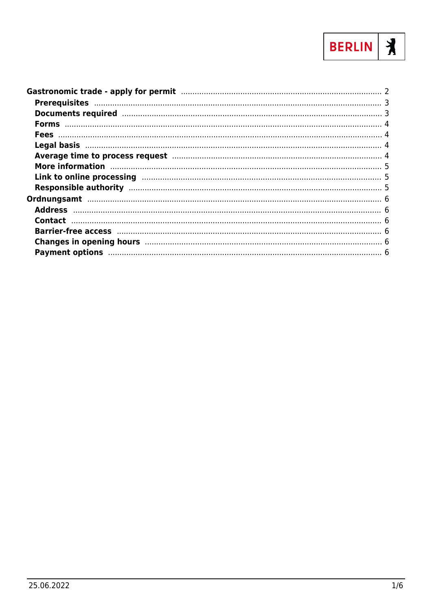

| Average time to process request manufactured and the contract of 4                                                                                                                                                             |  |
|--------------------------------------------------------------------------------------------------------------------------------------------------------------------------------------------------------------------------------|--|
| More information manufactured and the manufacture of the state of the state of the state of the state of the s                                                                                                                 |  |
|                                                                                                                                                                                                                                |  |
|                                                                                                                                                                                                                                |  |
|                                                                                                                                                                                                                                |  |
|                                                                                                                                                                                                                                |  |
|                                                                                                                                                                                                                                |  |
|                                                                                                                                                                                                                                |  |
| Changes in opening hours manufactured and the control of the control of the changes in opening hours manufactured and the control of the control of the change of the control of the change of the changes of the changes of t |  |
|                                                                                                                                                                                                                                |  |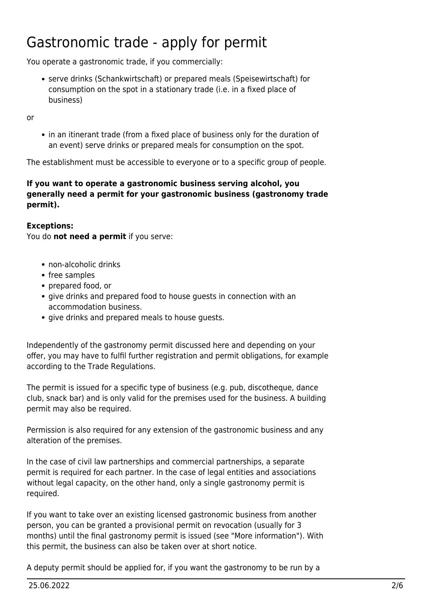# <span id="page-1-0"></span>Gastronomic trade - apply for permit

You operate a gastronomic trade, if you commercially:

serve drinks (Schankwirtschaft) or prepared meals (Speisewirtschaft) for consumption on the spot in a stationary trade (i.e. in a fixed place of business)

or

• in an itinerant trade (from a fixed place of business only for the duration of an event) serve drinks or prepared meals for consumption on the spot.

The establishment must be accessible to everyone or to a specific group of people.

#### **If you want to operate a gastronomic business serving alcohol, you generally need a permit for your gastronomic business (gastronomy trade permit).**

#### **Exceptions:**

You do **not need a permit** if you serve:

- non-alcoholic drinks
- free samples
- prepared food, or
- give drinks and prepared food to house guests in connection with an accommodation business.
- give drinks and prepared meals to house quests.

Independently of the gastronomy permit discussed here and depending on your offer, you may have to fulfil further registration and permit obligations, for example according to the Trade Regulations.

The permit is issued for a specific type of business (e.g. pub, discotheque, dance club, snack bar) and is only valid for the premises used for the business. A building permit may also be required.

Permission is also required for any extension of the gastronomic business and any alteration of the premises.

In the case of civil law partnerships and commercial partnerships, a separate permit is required for each partner. In the case of legal entities and associations without legal capacity, on the other hand, only a single gastronomy permit is required.

If you want to take over an existing licensed gastronomic business from another person, you can be granted a provisional permit on revocation (usually for 3 months) until the final gastronomy permit is issued (see "More information"). With this permit, the business can also be taken over at short notice.

A deputy permit should be applied for, if you want the gastronomy to be run by a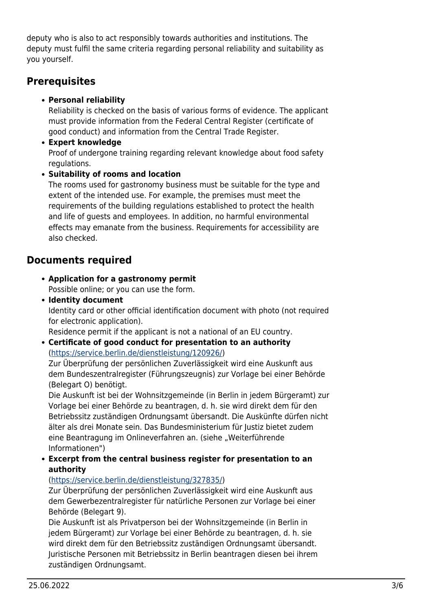deputy who is also to act responsibly towards authorities and institutions. The deputy must fulfil the same criteria regarding personal reliability and suitability as you yourself.

## <span id="page-2-0"></span>**Prerequisites**

### **Personal reliability**

Reliability is checked on the basis of various forms of evidence. The applicant must provide information from the Federal Central Register (certificate of good conduct) and information from the Central Trade Register.

**Expert knowledge**

Proof of undergone training regarding relevant knowledge about food safety regulations.

## **Suitability of rooms and location**

The rooms used for gastronomy business must be suitable for the type and extent of the intended use. For example, the premises must meet the requirements of the building regulations established to protect the health and life of guests and employees. In addition, no harmful environmental effects may emanate from the business. Requirements for accessibility are also checked.

# <span id="page-2-1"></span>**Documents required**

- **Application for a gastronomy permit** Possible online; or you can use the form.
- **Identity document**

Identity card or other official identification document with photo (not required for electronic application).

Residence permit if the applicant is not a national of an EU country.

**Certificate of good conduct for presentation to an authority** (<https://service.berlin.de/dienstleistung/120926/>)

Zur Überprüfung der persönlichen Zuverlässigkeit wird eine Auskunft aus dem Bundeszentralregister (Führungszeugnis) zur Vorlage bei einer Behörde (Belegart O) benötigt.

Die Auskunft ist bei der Wohnsitzgemeinde (in Berlin in jedem Bürgeramt) zur Vorlage bei einer Behörde zu beantragen, d. h. sie wird direkt dem für den Betriebssitz zuständigen Ordnungsamt übersandt. Die Auskünfte dürfen nicht älter als drei Monate sein. Das Bundesministerium für Justiz bietet zudem eine Beantragung im Onlineverfahren an. (siehe "Weiterführende Informationen")

**Excerpt from the central business register for presentation to an authority**

### (<https://service.berlin.de/dienstleistung/327835/>)

Zur Überprüfung der persönlichen Zuverlässigkeit wird eine Auskunft aus dem Gewerbezentralregister für natürliche Personen zur Vorlage bei einer Behörde (Belegart 9).

Die Auskunft ist als Privatperson bei der Wohnsitzgemeinde (in Berlin in jedem Bürgeramt) zur Vorlage bei einer Behörde zu beantragen, d. h. sie wird direkt dem für den Betriebssitz zuständigen Ordnungsamt übersandt. Juristische Personen mit Betriebssitz in Berlin beantragen diesen bei ihrem zuständigen Ordnungsamt.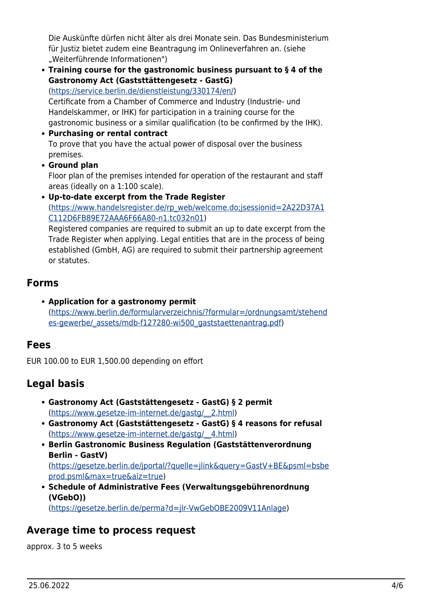Die Auskünfte dürfen nicht älter als drei Monate sein. Das Bundesministerium für Justiz bietet zudem eine Beantragung im Onlineverfahren an. (siehe "Weiterführende Informationen")

**Training course for the gastronomic business pursuant to § 4 of the Gastronomy Act (Gaststtättengesetz - GastG)**

([https://service.berlin.de/dienstleistung/330174/en/\)](https://service.berlin.de/dienstleistung/330174/en/) Certificate from a Chamber of Commerce and Industry (Industrie- und Handelskammer, or IHK) for participation in a training course for the

gastronomic business or a similar qualification (to be confirmed by the IHK).

- **Purchasing or rental contract** To prove that you have the actual power of disposal over the business premises.
- **Ground plan**

Floor plan of the premises intended for operation of the restaurant and staff areas (ideally on a 1:100 scale).

**Up-to-date excerpt from the Trade Register** ([https://www.handelsregister.de/rp\\_web/welcome.do;jsessionid=2A22D37A1](https://www.handelsregister.de/rp_web/welcome.do;jsessionid=2A22D37A1C112D6FB89E72AAA6F66A80-n1.tc032n01) [C112D6FB89E72AAA6F66A80-n1.tc032n01](https://www.handelsregister.de/rp_web/welcome.do;jsessionid=2A22D37A1C112D6FB89E72AAA6F66A80-n1.tc032n01))

Registered companies are required to submit an up to date excerpt from the Trade Register when applying. Legal entities that are in the process of being established (GmbH, AG) are required to submit their partnership agreement or statutes.

## <span id="page-3-0"></span>**Forms**

**Application for a gastronomy permit** ([https://www.berlin.de/formularverzeichnis/?formular=/ordnungsamt/stehend](https://www.berlin.de/formularverzeichnis/?formular=/ordnungsamt/stehendes-gewerbe/_assets/mdb-f127280-wi500_gaststaettenantrag.pdf) [es-gewerbe/\\_assets/mdb-f127280-wi500\\_gaststaettenantrag.pdf\)](https://www.berlin.de/formularverzeichnis/?formular=/ordnungsamt/stehendes-gewerbe/_assets/mdb-f127280-wi500_gaststaettenantrag.pdf)

# <span id="page-3-1"></span>**Fees**

EUR 100.00 to EUR 1,500.00 depending on effort

# <span id="page-3-2"></span>**Legal basis**

- **Gastronomy Act (Gaststättengesetz GastG) § 2 permit** ([https://www.gesetze-im-internet.de/gastg/\\_\\_2.html\)](https://www.gesetze-im-internet.de/gastg/__2.html)
- **Gastronomy Act (Gaststättengesetz GastG) § 4 reasons for refusal** ([https://www.gesetze-im-internet.de/gastg/\\_\\_4.html\)](https://www.gesetze-im-internet.de/gastg/__4.html)
- **Berlin Gastronomic Business Regulation (Gaststättenverordnung Berlin - GastV)** ([https://gesetze.berlin.de/jportal/?quelle=jlink&query=GastV+BE&psml=bsbe](https://gesetze.berlin.de/jportal/?quelle=jlink&query=GastV+BE&psml=bsbeprod.psml&max=true&aiz=true) [prod.psml&max=true&aiz=true\)](https://gesetze.berlin.de/jportal/?quelle=jlink&query=GastV+BE&psml=bsbeprod.psml&max=true&aiz=true)
- **Schedule of Administrative Fees (Verwaltungsgebührenordnung (VGebO))**

([https://gesetze.berlin.de/perma?d=jlr-VwGebOBE2009V11Anlage\)](https://gesetze.berlin.de/perma?d=jlr-VwGebOBE2009V11Anlage)

# <span id="page-3-3"></span>**Average time to process request**

approx. 3 to 5 weeks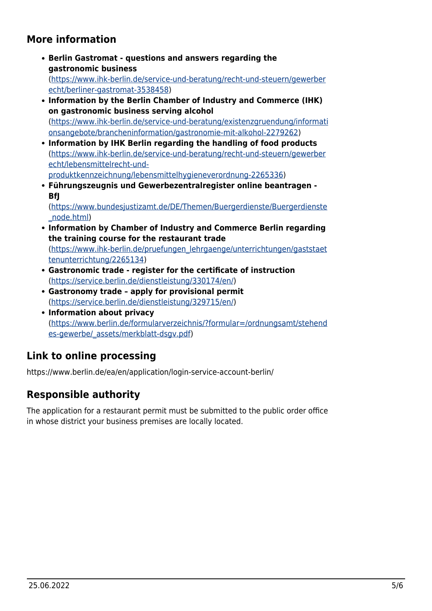# <span id="page-4-0"></span>**More information**

- **Berlin Gastromat questions and answers regarding the gastronomic business** ([https://www.ihk-berlin.de/service-und-beratung/recht-und-steuern/gewerber](https://www.ihk-berlin.de/service-und-beratung/recht-und-steuern/gewerberecht/berliner-gastromat-3538458) [echt/berliner-gastromat-3538458\)](https://www.ihk-berlin.de/service-und-beratung/recht-und-steuern/gewerberecht/berliner-gastromat-3538458)
- **Information by the Berlin Chamber of Industry and Commerce (IHK) on gastronomic business serving alcohol** ([https://www.ihk-berlin.de/service-und-beratung/existenzgruendung/informati](https://www.ihk-berlin.de/service-und-beratung/existenzgruendung/informationsangebote/brancheninformation/gastronomie-mit-alkohol-2279262) [onsangebote/brancheninformation/gastronomie-mit-alkohol-2279262](https://www.ihk-berlin.de/service-und-beratung/existenzgruendung/informationsangebote/brancheninformation/gastronomie-mit-alkohol-2279262))
- **Information by IHK Berlin regarding the handling of food products** ([https://www.ihk-berlin.de/service-und-beratung/recht-und-steuern/gewerber](https://www.ihk-berlin.de/service-und-beratung/recht-und-steuern/gewerberecht/lebensmittelrecht-und-produktkennzeichnung/lebensmittelhygieneverordnung-2265336) [echt/lebensmittelrecht-und](https://www.ihk-berlin.de/service-und-beratung/recht-und-steuern/gewerberecht/lebensmittelrecht-und-produktkennzeichnung/lebensmittelhygieneverordnung-2265336)[produktkennzeichnung/lebensmittelhygieneverordnung-2265336](https://www.ihk-berlin.de/service-und-beratung/recht-und-steuern/gewerberecht/lebensmittelrecht-und-produktkennzeichnung/lebensmittelhygieneverordnung-2265336))
- **Führungszeugnis und Gewerbezentralregister online beantragen - BfJ**

([https://www.bundesjustizamt.de/DE/Themen/Buergerdienste/Buergerdienste](https://www.bundesjustizamt.de/DE/Themen/Buergerdienste/Buergerdienste_node.html) [\\_node.html](https://www.bundesjustizamt.de/DE/Themen/Buergerdienste/Buergerdienste_node.html))

- **Information by Chamber of Industry and Commerce Berlin regarding the training course for the restaurant trade** ([https://www.ihk-berlin.de/pruefungen\\_lehrgaenge/unterrichtungen/gaststaet](https://www.ihk-berlin.de/pruefungen_lehrgaenge/unterrichtungen/gaststaettenunterrichtung/2265134) [tenunterrichtung/2265134](https://www.ihk-berlin.de/pruefungen_lehrgaenge/unterrichtungen/gaststaettenunterrichtung/2265134))
- **Gastronomic trade register for the certificate of instruction** ([https://service.berlin.de/dienstleistung/330174/en/\)](https://service.berlin.de/dienstleistung/330174/en/)
- **Gastronomy trade apply for provisional permit** ([https://service.berlin.de/dienstleistung/329715/en/\)](https://service.berlin.de/dienstleistung/329715/en/)
- **Information about privacy** ([https://www.berlin.de/formularverzeichnis/?formular=/ordnungsamt/stehend](https://www.berlin.de/formularverzeichnis/?formular=/ordnungsamt/stehendes-gewerbe/_assets/merkblatt-dsgv.pdf) [es-gewerbe/\\_assets/merkblatt-dsgv.pdf\)](https://www.berlin.de/formularverzeichnis/?formular=/ordnungsamt/stehendes-gewerbe/_assets/merkblatt-dsgv.pdf)

# <span id="page-4-1"></span>**Link to online processing**

https://www.berlin.de/ea/en/application/login-service-account-berlin/

# <span id="page-4-2"></span>**Responsible authority**

The application for a restaurant permit must be submitted to the public order office in whose district your business premises are locally located.